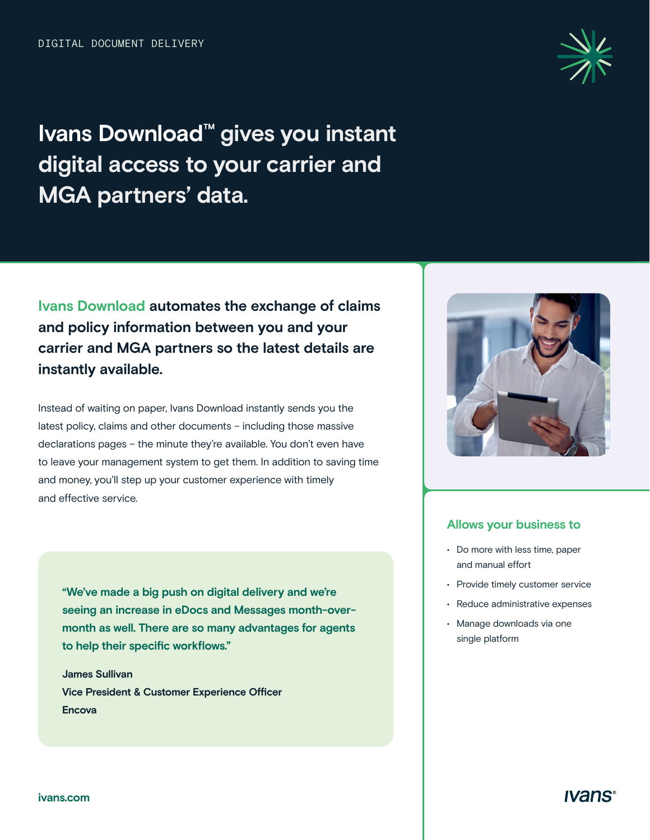

# **Ivans Download™ gives you instant digital access to your carrier and MGA partners' data.**

**Ivans Download automates the exchange of claims and policy information between you and your carrier and MGA partners so the latest details are instantly available.** 

Instead of waiting on paper, Ivans Download instantly sends you the latest policy, claims and other documents – including those massive declarations pages – the minute they're available. You don't even have to leave your management system to get them. In addition to saving time and money, you'll step up your customer experience with timely and effective service.

**"We've made a big push on digital delivery and we're seeing an increase in eDocs and Messages month-overmonth as well. There are so many advantages for agents to help their specific workflows."** 

**James Sullivan Vice President & Customer Experience Officer Encova** 



#### **Allows your business to**

- Do more with less time, paper and manual effort
- Provide timely customer service
- Reduce administrative expenses
- Manage downloads via one single platform